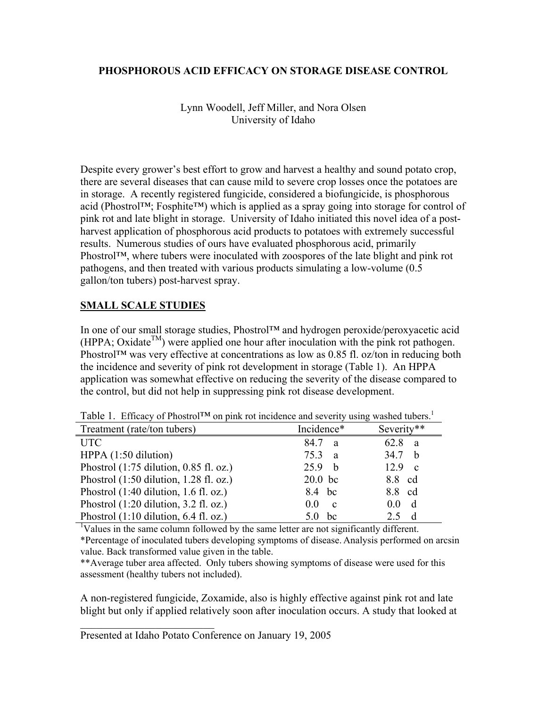## **PHOSPHOROUS ACID EFFICACY ON STORAGE DISEASE CONTROL**

Lynn Woodell, Jeff Miller, and Nora Olsen University of Idaho

Despite every grower's best effort to grow and harvest a healthy and sound potato crop, there are several diseases that can cause mild to severe crop losses once the potatoes are in storage. A recently registered fungicide, considered a biofungicide, is phosphorous acid (Phostrol™; Fosphite™) which is applied as a spray going into storage for control of pink rot and late blight in storage. University of Idaho initiated this novel idea of a postharvest application of phosphorous acid products to potatoes with extremely successful results. Numerous studies of ours have evaluated phosphorous acid, primarily Phostrol™, where tubers were inoculated with zoospores of the late blight and pink rot pathogens, and then treated with various products simulating a low-volume (0.5 gallon/ton tubers) post-harvest spray.

## **SMALL SCALE STUDIES**

In one of our small storage studies, Phostrol™ and hydrogen peroxide/peroxyacetic acid  $(HPPA; Oxidate<sup>TM</sup>)$  were applied one hour after inoculation with the pink rot pathogen. Phostrol™ was very effective at concentrations as low as 0.85 fl. oz/ton in reducing both the incidence and severity of pink rot development in storage (Table 1). An HPPA application was somewhat effective on reducing the severity of the disease compared to the control, but did not help in suppressing pink rot disease development.

|                                          |                                | ັ                    |
|------------------------------------------|--------------------------------|----------------------|
| Treatment (rate/ton tubers)              | Incidence*                     | Severity**           |
| <b>UTC</b>                               | 84.7 a                         | 62.8<br>a a          |
| HPPA $(1:50$ dilution)                   | 75.3<br>$\mathbf{a}$           | 34.7<br>-h           |
| Phostrol $(1:75$ dilution, 0.85 fl. oz.) | 25.9 <sub>b</sub>              | 12.9<br>$\mathbf{c}$ |
| Phostrol $(1:50$ dilution, 1.28 fl. oz.) | $20.0$ bc                      | 8.8 cd               |
| Phostrol $(1:40$ dilution, 1.6 fl. oz.)  | 8.4 bc                         | 8.8 cd               |
| Phostrol $(1:20$ dilution, 3.2 fl. oz.)  | 0 <sub>0</sub><br>$\mathbf{c}$ | 00 d                 |
| Phostrol $(1:10$ dilution, 6.4 fl. oz.)  | <sub>bc</sub>                  | 2.5                  |

Table 1. Efficacy of Phostrol™ on pink rot incidence and severity using washed tubers.<sup>1</sup>

<sup>1</sup>Values in the same column followed by the same letter are not significantly different.

\*Percentage of inoculated tubers developing symptoms of disease. Analysis performed on arcsin value. Back transformed value given in the table.

\*\*Average tuber area affected. Only tubers showing symptoms of disease were used for this assessment (healthy tubers not included).

A non-registered fungicide, Zoxamide, also is highly effective against pink rot and late blight but only if applied relatively soon after inoculation occurs. A study that looked at

 $\mathcal{L}_\text{max}$ 

Presented at Idaho Potato Conference on January 19, 2005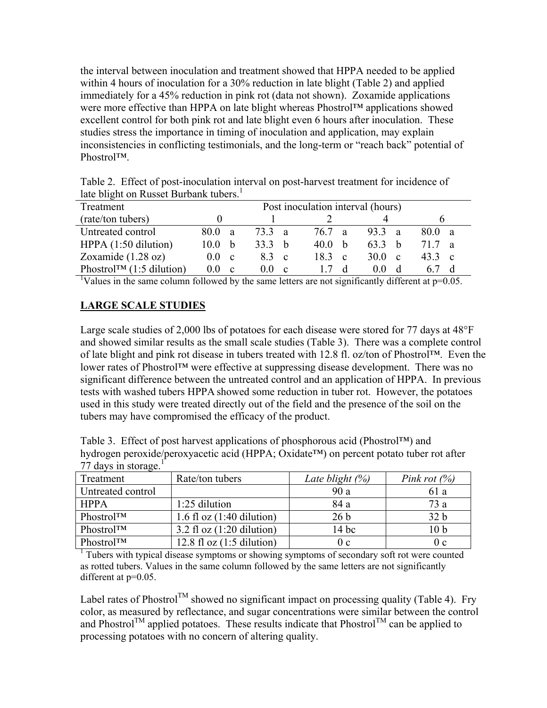the interval between inoculation and treatment showed that HPPA needed to be applied within 4 hours of inoculation for a 30% reduction in late blight (Table 2) and applied immediately for a 45% reduction in pink rot (data not shown). Zoxamide applications were more effective than HPPA on late blight whereas Phostrol™ applications showed excellent control for both pink rot and late blight even 6 hours after inoculation. These studies stress the importance in timing of inoculation and application, may explain inconsistencies in conflicting testimonials, and the long-term or "reach back" potential of Phostrol™.

Table 2. Effect of post-inoculation interval on post-harvest treatment for incidence of late blight on Russet Burbank tubers.<sup>1</sup>

| Treatment                               | Post inoculation interval (hours) |                         |                     |                      |                       |
|-----------------------------------------|-----------------------------------|-------------------------|---------------------|----------------------|-----------------------|
| (rate/ton tubers)                       |                                   |                         |                     |                      |                       |
| Untreated control                       | 80 O<br>a                         | 733 a                   | 76 7<br>a           | 93.3<br>- a          | 800 a                 |
| HPPA $(1:50$ dilution)                  | 10 0<br>$\mathsf{h}$              | 33.3<br>- h             | 40 O<br>h           | 633<br>h.            | 717<br>$\overline{a}$ |
| Zoxamide $(1.28 \text{ oz})$            | (0)<br><sub>c</sub>               | 83<br>c.                | 183<br>$\mathbf{c}$ | 30 O<br><sub>c</sub> | 433 c                 |
| Phostrol <sup>TM</sup> $(1:5$ dilution) | 00<br><sub>c</sub>                | ( )  ()<br><sub>c</sub> |                     | <sub>d</sub>         |                       |

<sup>1</sup>Values in the same column followed by the same letters are not significantly different at  $p=0.05$ .

## **LARGE SCALE STUDIES**

Large scale studies of 2,000 lbs of potatoes for each disease were stored for 77 days at 48°F and showed similar results as the small scale studies (Table 3). There was a complete control of late blight and pink rot disease in tubers treated with 12.8 fl. oz/ton of Phostrol™. Even the lower rates of Phostrol™ were effective at suppressing disease development. There was no significant difference between the untreated control and an application of HPPA. In previous tests with washed tubers HPPA showed some reduction in tuber rot. However, the potatoes used in this study were treated directly out of the field and the presence of the soil on the tubers may have compromised the efficacy of the product.

| Table 3. Effect of post harvest applications of phosphorous acid (Phostrol <sup>TM</sup> ) and       |
|------------------------------------------------------------------------------------------------------|
| hydrogen peroxide/peroxyacetic acid (HPPA; Oxidate <sup>TM</sup> ) on percent potato tuber rot after |
| 77 days in storage.                                                                                  |

| Treatment                                                                                                | Rate/ton tubers             | Late blight $(\%)$ | Pink rot $(\%)$ |
|----------------------------------------------------------------------------------------------------------|-----------------------------|--------------------|-----------------|
| Untreated control                                                                                        |                             | 90a                | 61 a            |
| <b>HPPA</b>                                                                                              | $1:25$ dilution             | 84 a               | 73a             |
| PhostrolTM                                                                                               | 1.6 fl oz $(1:40$ dilution) | 26 <sub>b</sub>    | 32 <sub>b</sub> |
| PhostrolTM                                                                                               | 3.2 fl oz $(1:20$ dilution) | $14$ bc            | 10 <sub>b</sub> |
| PhostrolTM                                                                                               | 12.8 fl oz $(1:5$ dilution) | 0c                 | 0 <sub>c</sub>  |
| <sup>1</sup> Tubers with typical disease symptoms or showing symptoms of secondary soft rot were counted |                             |                    |                 |

as rotted tubers. Values in the same column followed by the same letters are not significantly different at  $p=0.05$ .

Label rates of Phostrol<sup>TM</sup> showed no significant impact on processing quality (Table 4). Fry color, as measured by reflectance, and sugar concentrations were similar between the control and Phostrol<sup>TM</sup> applied potatoes. These results indicate that Phostrol<sup>TM</sup> can be applied to processing potatoes with no concern of altering quality.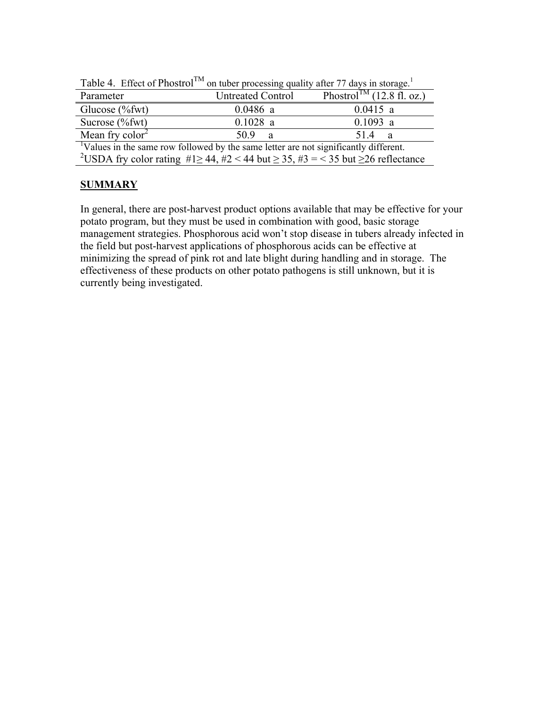| $1401\sigma$ 4. Eliect of Filostrol                                                                             | on the processing quantly after 77 days in storage. |                                       |  |  |
|-----------------------------------------------------------------------------------------------------------------|-----------------------------------------------------|---------------------------------------|--|--|
| Parameter                                                                                                       | <b>Untreated Control</b>                            | Phostrol <sup>TM</sup> (12.8 fl. oz.) |  |  |
| Glucose $(\%$ fwt $)$                                                                                           | $0.0486$ a                                          | $0.0415$ a                            |  |  |
| Sucrose $(\%$ fwt $)$                                                                                           | $0.1028$ a                                          | $0.1093$ a                            |  |  |
| Mean fry $\text{color}^2$                                                                                       | 50.9<br>a                                           | 514<br>a                              |  |  |
| <sup>1</sup> Values in the same row followed by the same letter are not significantly different.                |                                                     |                                       |  |  |
| <sup>2</sup> USDA fry color rating $\#1 \ge 44$ , $\#2 < 44$ but $\ge 35$ , $\#3 = 35$ but $\ge 26$ reflectance |                                                     |                                       |  |  |

Table 4. Effect of Phostrol<sup>TM</sup> on tuber processing quality after 77 days in storage.<sup>1</sup>

## **SUMMARY**

In general, there are post-harvest product options available that may be effective for your potato program, but they must be used in combination with good, basic storage management strategies. Phosphorous acid won't stop disease in tubers already infected in the field but post-harvest applications of phosphorous acids can be effective at minimizing the spread of pink rot and late blight during handling and in storage. The effectiveness of these products on other potato pathogens is still unknown, but it is currently being investigated.